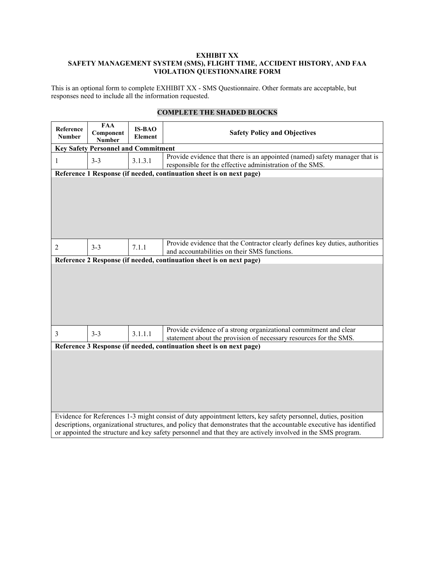This is an optional form to complete EXHIBIT XX - SMS Questionnaire. Other formats are acceptable, but responses need to include all the information requested.

| Reference<br><b>Number</b> | <b>FAA</b><br>Component<br><b>Number</b>   | <b>IS-BAO</b><br><b>Element</b> | <b>Safety Policy and Objectives</b>                                                                                                                                                                                                |
|----------------------------|--------------------------------------------|---------------------------------|------------------------------------------------------------------------------------------------------------------------------------------------------------------------------------------------------------------------------------|
|                            | <b>Key Safety Personnel and Commitment</b> |                                 |                                                                                                                                                                                                                                    |
| 1                          | $3 - 3$                                    | 3.1.3.1                         | Provide evidence that there is an appointed (named) safety manager that is<br>responsible for the effective administration of the SMS.                                                                                             |
|                            |                                            |                                 | Reference 1 Response (if needed, continuation sheet is on next page)                                                                                                                                                               |
|                            |                                            |                                 |                                                                                                                                                                                                                                    |
| $\overline{2}$             | $3 - 3$                                    | 7.1.1                           | Provide evidence that the Contractor clearly defines key duties, authorities<br>and accountabilities on their SMS functions.                                                                                                       |
|                            |                                            |                                 | Reference 2 Response (if needed, continuation sheet is on next page)                                                                                                                                                               |
|                            |                                            |                                 |                                                                                                                                                                                                                                    |
| 3                          | $3 - 3$                                    | 3.1.1.1                         | Provide evidence of a strong organizational commitment and clear<br>statement about the provision of necessary resources for the SMS.                                                                                              |
|                            |                                            |                                 | Reference 3 Response (if needed, continuation sheet is on next page)                                                                                                                                                               |
|                            |                                            |                                 | Evidence for References 1-3 might consist of duty appointment letters, key safety personnel, duties, position                                                                                                                      |
|                            |                                            |                                 | descriptions, organizational structures, and policy that demonstrates that the accountable executive has identified<br>or appointed the structure and key safety personnel and that they are actively involved in the SMS program. |

# **COMPLETE THE SHADED BLOCKS**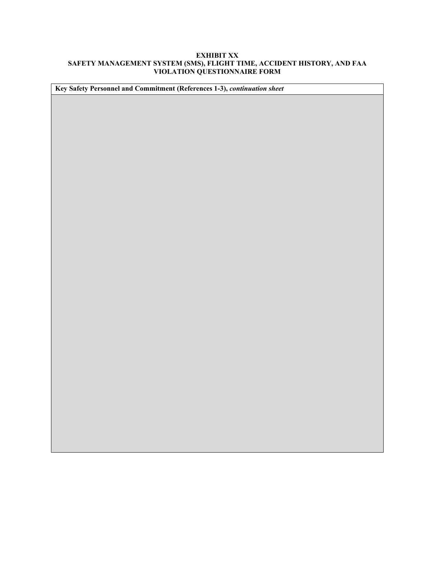| Key Safety Personnel and Commitment (References 1-3), continuation sheet |  |
|--------------------------------------------------------------------------|--|
|                                                                          |  |
|                                                                          |  |
|                                                                          |  |
|                                                                          |  |
|                                                                          |  |
|                                                                          |  |
|                                                                          |  |
|                                                                          |  |
|                                                                          |  |
|                                                                          |  |
|                                                                          |  |
|                                                                          |  |
|                                                                          |  |
|                                                                          |  |
|                                                                          |  |
|                                                                          |  |
|                                                                          |  |
|                                                                          |  |
|                                                                          |  |
|                                                                          |  |
|                                                                          |  |
|                                                                          |  |
|                                                                          |  |
|                                                                          |  |
|                                                                          |  |
|                                                                          |  |
|                                                                          |  |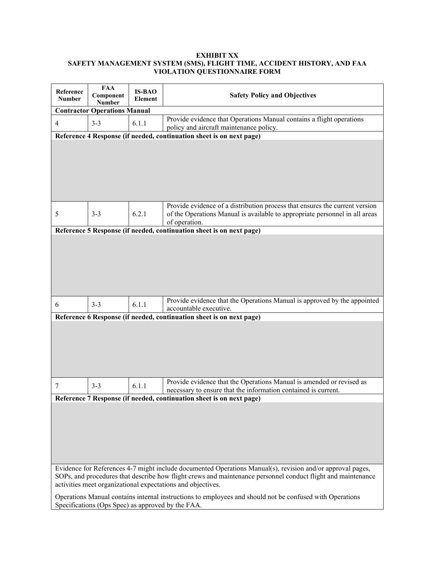| Reference<br><b>Number</b> | <b>FAA</b><br>Component<br>Number                 | <b>IS-BAO</b><br>Element | <b>Safety Policy and Objectives</b>                                                                                                                                                                                                                                                                                                                                                                   |
|----------------------------|---------------------------------------------------|--------------------------|-------------------------------------------------------------------------------------------------------------------------------------------------------------------------------------------------------------------------------------------------------------------------------------------------------------------------------------------------------------------------------------------------------|
|                            | <b>Contractor Operations Manual</b>               |                          |                                                                                                                                                                                                                                                                                                                                                                                                       |
| 4                          | $3 - 3$                                           | 6.1.1                    | Provide evidence that Operations Manual contains a flight operations<br>policy and aircraft maintenance policy.                                                                                                                                                                                                                                                                                       |
|                            |                                                   |                          | Reference 4 Response (if needed, continuation sheet is on next page)                                                                                                                                                                                                                                                                                                                                  |
|                            |                                                   |                          |                                                                                                                                                                                                                                                                                                                                                                                                       |
| 5                          | $3 - 3$                                           | 6.2.1                    | Provide evidence of a distribution process that ensures the current version<br>of the Operations Manual is available to appropriate personnel in all areas<br>of operation.                                                                                                                                                                                                                           |
|                            |                                                   |                          | Reference 5 Response (if needed, continuation sheet is on next page)                                                                                                                                                                                                                                                                                                                                  |
|                            |                                                   |                          |                                                                                                                                                                                                                                                                                                                                                                                                       |
| 6                          | $3 - 3$                                           | 6.1.1                    | Provide evidence that the Operations Manual is approved by the appointed<br>accountable executive.                                                                                                                                                                                                                                                                                                    |
|                            |                                                   |                          | Reference 6 Response (if needed, continuation sheet is on next page)                                                                                                                                                                                                                                                                                                                                  |
|                            |                                                   |                          |                                                                                                                                                                                                                                                                                                                                                                                                       |
| 7                          | $3 - 3$                                           | 6.1.1                    | Provide evidence that the Operations Manual is amended or revised as<br>necessary to ensure that the information contained is current.                                                                                                                                                                                                                                                                |
|                            |                                                   |                          | Reference 7 Response (if needed, continuation sheet is on next page)                                                                                                                                                                                                                                                                                                                                  |
|                            | Specifications (Ops Spec) as approved by the FAA. |                          | Evidence for References 4-7 might include documented Operations Manual(s), revision and/or approval pages,<br>SOPs, and procedures that describe how flight crews and maintenance personnel conduct flight and maintenance<br>activities meet organizational expectations and objectives.<br>Operations Manual contains internal instructions to employees and should not be confused with Operations |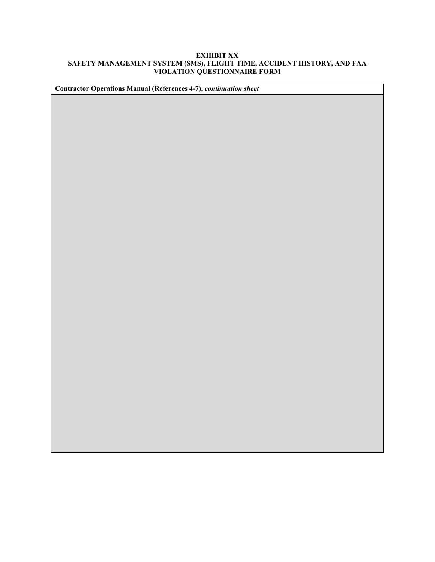| <b>Contractor Operations Manual (References 4-7), continuation sheet</b> |
|--------------------------------------------------------------------------|
|                                                                          |
|                                                                          |
|                                                                          |
|                                                                          |
|                                                                          |
|                                                                          |
|                                                                          |
|                                                                          |
|                                                                          |
|                                                                          |
|                                                                          |
|                                                                          |
|                                                                          |
|                                                                          |
|                                                                          |
|                                                                          |
|                                                                          |
|                                                                          |
|                                                                          |
|                                                                          |
|                                                                          |
|                                                                          |
|                                                                          |
|                                                                          |
|                                                                          |
|                                                                          |
|                                                                          |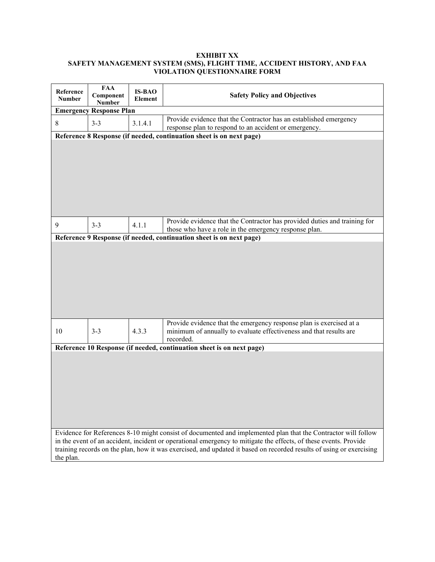| Reference<br><b>Number</b> | <b>FAA</b><br>Component<br><b>Number</b> | <b>IS-BAO</b><br>Element | <b>Safety Policy and Objectives</b>                                                                                                                                                                                                                                                                                                                      |
|----------------------------|------------------------------------------|--------------------------|----------------------------------------------------------------------------------------------------------------------------------------------------------------------------------------------------------------------------------------------------------------------------------------------------------------------------------------------------------|
|                            | <b>Emergency Response Plan</b>           |                          |                                                                                                                                                                                                                                                                                                                                                          |
| 8                          | $3 - 3$                                  | 3.1.4.1                  | Provide evidence that the Contractor has an established emergency<br>response plan to respond to an accident or emergency.                                                                                                                                                                                                                               |
|                            |                                          |                          | Reference 8 Response (if needed, continuation sheet is on next page)                                                                                                                                                                                                                                                                                     |
|                            |                                          |                          |                                                                                                                                                                                                                                                                                                                                                          |
| 9                          | $3 - 3$                                  | 4.1.1                    | Provide evidence that the Contractor has provided duties and training for<br>those who have a role in the emergency response plan.                                                                                                                                                                                                                       |
|                            |                                          |                          | Reference 9 Response (if needed, continuation sheet is on next page)                                                                                                                                                                                                                                                                                     |
|                            |                                          |                          |                                                                                                                                                                                                                                                                                                                                                          |
| 10                         | $3 - 3$                                  | 4.3.3                    | Provide evidence that the emergency response plan is exercised at a<br>minimum of annually to evaluate effectiveness and that results are<br>recorded.                                                                                                                                                                                                   |
|                            |                                          |                          | Reference 10 Response (if needed, continuation sheet is on next page)                                                                                                                                                                                                                                                                                    |
|                            |                                          |                          |                                                                                                                                                                                                                                                                                                                                                          |
| the plan.                  |                                          |                          | Evidence for References 8-10 might consist of documented and implemented plan that the Contractor will follow<br>in the event of an accident, incident or operational emergency to mitigate the effects, of these events. Provide<br>training records on the plan, how it was exercised, and updated it based on recorded results of using or exercising |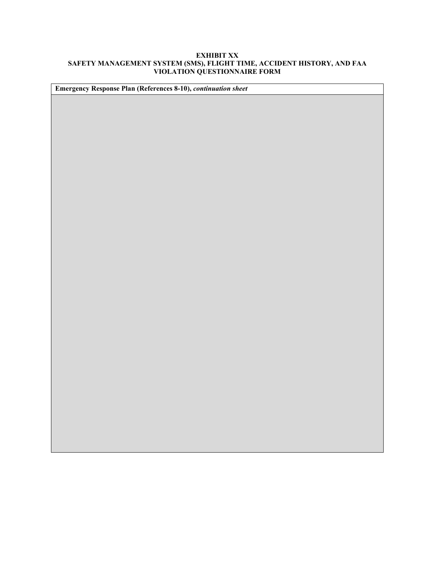| Emergency Response Plan (References 8-10), continuation sheet |
|---------------------------------------------------------------|
|                                                               |
|                                                               |
|                                                               |
|                                                               |
|                                                               |
|                                                               |
|                                                               |
|                                                               |
|                                                               |
|                                                               |
|                                                               |
|                                                               |
|                                                               |
|                                                               |
|                                                               |
|                                                               |
|                                                               |
|                                                               |
|                                                               |
|                                                               |
|                                                               |
|                                                               |
|                                                               |
|                                                               |
|                                                               |
|                                                               |
|                                                               |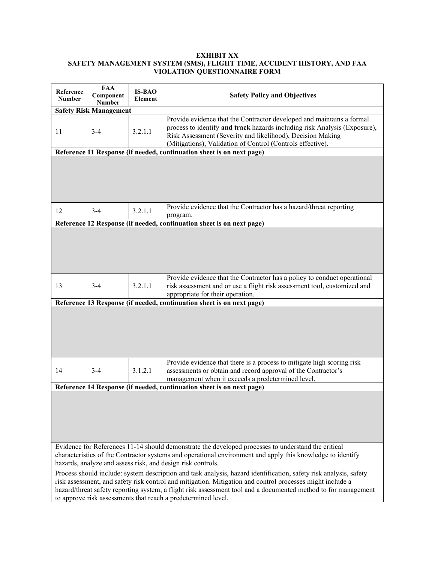| Reference<br><b>Number</b> | <b>FAA</b><br>Component<br><b>Number</b> | <b>IS-BAO</b><br><b>Element</b> | <b>Safety Policy and Objectives</b>                                                                                                                                                                                                                                                                                                                                                                               |
|----------------------------|------------------------------------------|---------------------------------|-------------------------------------------------------------------------------------------------------------------------------------------------------------------------------------------------------------------------------------------------------------------------------------------------------------------------------------------------------------------------------------------------------------------|
|                            | <b>Safety Risk Management</b>            |                                 |                                                                                                                                                                                                                                                                                                                                                                                                                   |
| 11                         | $3 - 4$                                  | 3.2.1.1                         | Provide evidence that the Contractor developed and maintains a formal<br>process to identify and track hazards including risk Analysis (Exposure),<br>Risk Assessment (Severity and likelihood), Decision Making<br>(Mitigations), Validation of Control (Controls effective).                                                                                                                                    |
|                            |                                          |                                 | Reference 11 Response (if needed, continuation sheet is on next page)                                                                                                                                                                                                                                                                                                                                             |
|                            |                                          |                                 |                                                                                                                                                                                                                                                                                                                                                                                                                   |
| 12                         | $3 - 4$                                  | 3.2.1.1                         | Provide evidence that the Contractor has a hazard/threat reporting<br>program.                                                                                                                                                                                                                                                                                                                                    |
|                            |                                          |                                 | Reference 12 Response (if needed, continuation sheet is on next page)                                                                                                                                                                                                                                                                                                                                             |
|                            |                                          |                                 |                                                                                                                                                                                                                                                                                                                                                                                                                   |
| 13                         | $3 - 4$                                  | 3.2.1.1                         | Provide evidence that the Contractor has a policy to conduct operational<br>risk assessment and or use a flight risk assessment tool, customized and<br>appropriate for their operation.                                                                                                                                                                                                                          |
|                            |                                          |                                 | Reference 13 Response (if needed, continuation sheet is on next page)                                                                                                                                                                                                                                                                                                                                             |
|                            |                                          |                                 |                                                                                                                                                                                                                                                                                                                                                                                                                   |
| 14                         | $3-4$                                    | 3.1.2.1                         | Provide evidence that there is a process to mitigate high scoring risk<br>assessments or obtain and record approval of the Contractor's<br>management when it exceeds a predetermined level.                                                                                                                                                                                                                      |
|                            |                                          |                                 | Reference 14 Response (if needed, continuation sheet is on next page)                                                                                                                                                                                                                                                                                                                                             |
|                            |                                          |                                 |                                                                                                                                                                                                                                                                                                                                                                                                                   |
|                            |                                          |                                 | Evidence for References 11-14 should demonstrate the developed processes to understand the critical<br>characteristics of the Contractor systems and operational environment and apply this knowledge to identify<br>hazards, analyze and assess risk, and design risk controls.                                                                                                                                  |
|                            |                                          |                                 | Process should include: system description and task analysis, hazard identification, safety risk analysis, safety<br>risk assessment, and safety risk control and mitigation. Mitigation and control processes might include a<br>hazard/threat safety reporting system, a flight risk assessment tool and a documented method to for management<br>to approve risk assessments that reach a predetermined level. |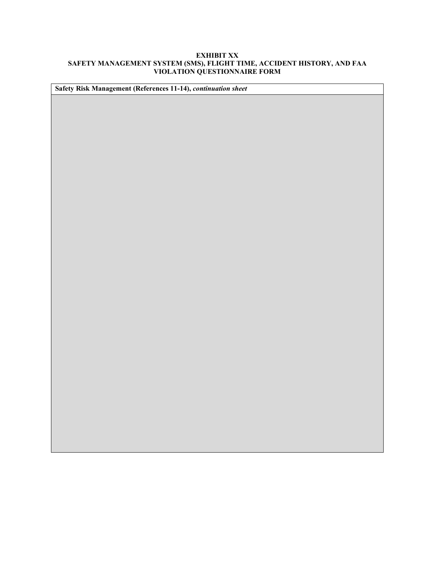| Safety Risk Management (References 11-14), continuation sheet |
|---------------------------------------------------------------|
|                                                               |
|                                                               |
|                                                               |
|                                                               |
|                                                               |
|                                                               |
|                                                               |
|                                                               |
|                                                               |
|                                                               |
|                                                               |
|                                                               |
|                                                               |
|                                                               |
|                                                               |
|                                                               |
|                                                               |
|                                                               |
|                                                               |
|                                                               |
|                                                               |
|                                                               |
|                                                               |
|                                                               |
|                                                               |
|                                                               |
|                                                               |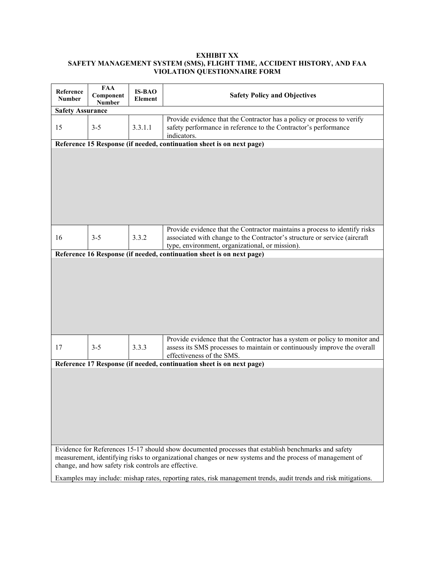| Reference<br><b>Number</b> | <b>FAA</b><br>Component<br><b>Number</b>            | <b>IS-BAO</b><br>Element | <b>Safety Policy and Objectives</b>                                                                                                                                                                             |
|----------------------------|-----------------------------------------------------|--------------------------|-----------------------------------------------------------------------------------------------------------------------------------------------------------------------------------------------------------------|
| <b>Safety Assurance</b>    |                                                     |                          |                                                                                                                                                                                                                 |
| 15                         | $3 - 5$                                             | 3.3.1.1                  | Provide evidence that the Contractor has a policy or process to verify<br>safety performance in reference to the Contractor's performance<br>indicators.                                                        |
|                            |                                                     |                          | Reference 15 Response (if needed, continuation sheet is on next page)                                                                                                                                           |
|                            |                                                     |                          |                                                                                                                                                                                                                 |
| 16                         | $3 - 5$                                             | 3.3.2                    | Provide evidence that the Contractor maintains a process to identify risks<br>associated with change to the Contractor's structure or service (aircraft<br>type, environment, organizational, or mission).      |
|                            |                                                     |                          | Reference 16 Response (if needed, continuation sheet is on next page)                                                                                                                                           |
|                            |                                                     |                          |                                                                                                                                                                                                                 |
| 17                         | $3 - 5$                                             | 3.3.3                    | Provide evidence that the Contractor has a system or policy to monitor and<br>assess its SMS processes to maintain or continuously improve the overall<br>effectiveness of the SMS.                             |
|                            |                                                     |                          | Reference 17 Response (if needed, continuation sheet is on next page)                                                                                                                                           |
|                            |                                                     |                          |                                                                                                                                                                                                                 |
|                            | change, and how safety risk controls are effective. |                          | Evidence for References 15-17 should show documented processes that establish benchmarks and safety<br>measurement, identifying risks to organizational changes or new systems and the process of management of |
|                            |                                                     |                          | Examples may include: mishap rates, reporting rates, risk management trends, audit trends and risk mitigations.                                                                                                 |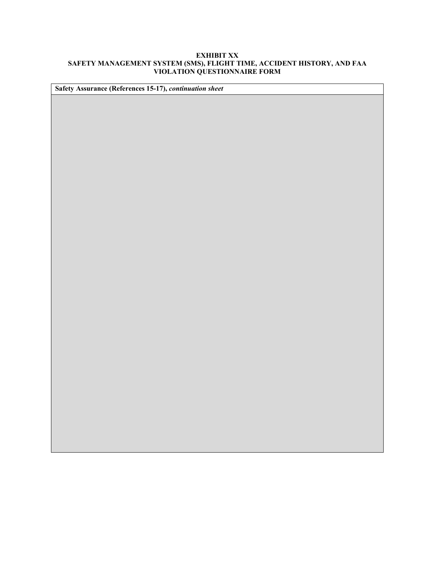| Safety Assurance (References 15-17), continuation sheet |
|---------------------------------------------------------|
|                                                         |
|                                                         |
|                                                         |
|                                                         |
|                                                         |
|                                                         |
|                                                         |
|                                                         |
|                                                         |
|                                                         |
|                                                         |
|                                                         |
|                                                         |
|                                                         |
|                                                         |
|                                                         |
|                                                         |
|                                                         |
|                                                         |
|                                                         |
|                                                         |
|                                                         |
|                                                         |
|                                                         |
|                                                         |
|                                                         |
|                                                         |
|                                                         |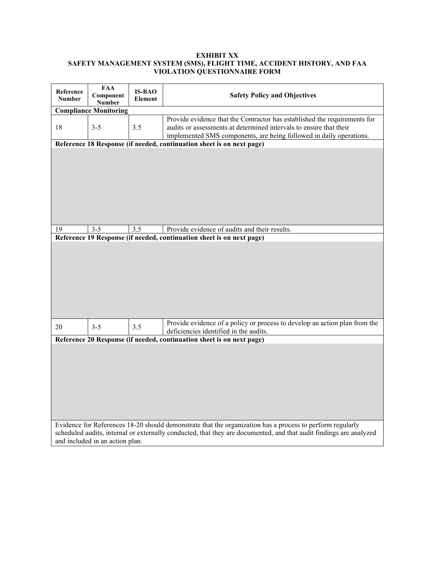| Reference<br><b>Number</b> | <b>FAA</b><br>Component<br><b>Number</b> | <b>IS-BAO</b><br>Element | <b>Safety Policy and Objectives</b>                                                                                                                                                                                    |
|----------------------------|------------------------------------------|--------------------------|------------------------------------------------------------------------------------------------------------------------------------------------------------------------------------------------------------------------|
|                            | <b>Compliance Monitoring</b>             |                          |                                                                                                                                                                                                                        |
| 18                         | $3 - 5$                                  | 3.5                      | Provide evidence that the Contractor has established the requirements for<br>audits or assessments at determined intervals to ensure that their<br>implemented SMS components, are being followed in daily operations. |
|                            |                                          |                          | Reference 18 Response (if needed, continuation sheet is on next page)                                                                                                                                                  |
|                            |                                          |                          |                                                                                                                                                                                                                        |
| 19                         | $3 - 5$                                  | 3.5                      | Provide evidence of audits and their results.                                                                                                                                                                          |
|                            |                                          |                          | Reference 19 Response (if needed, continuation sheet is on next page)                                                                                                                                                  |
|                            |                                          |                          | Provide evidence of a policy or process to develop an action plan from the                                                                                                                                             |
| 20                         | $3 - 5$                                  | 3.5                      | deficiencies identified in the audits.                                                                                                                                                                                 |
|                            |                                          |                          | Reference 20 Response (if needed, continuation sheet is on next page)                                                                                                                                                  |
|                            |                                          |                          | Evidence for References 18-20 should demonstrate that the organization has a process to perform regularly                                                                                                              |
|                            | and included in an action plan.          |                          | scheduled audits, internal or externally conducted, that they are documented, and that audit findings are analyzed                                                                                                     |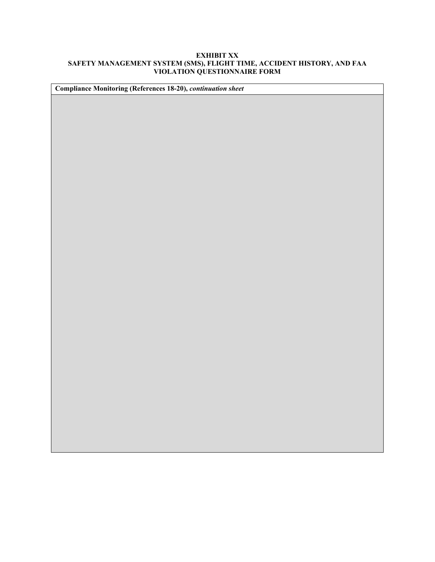| Compliance Monitoring (References 18-20), continuation sheet |  |  |  |  |
|--------------------------------------------------------------|--|--|--|--|
|                                                              |  |  |  |  |
|                                                              |  |  |  |  |
|                                                              |  |  |  |  |
|                                                              |  |  |  |  |
|                                                              |  |  |  |  |
|                                                              |  |  |  |  |
|                                                              |  |  |  |  |
|                                                              |  |  |  |  |
|                                                              |  |  |  |  |
|                                                              |  |  |  |  |
|                                                              |  |  |  |  |
|                                                              |  |  |  |  |
|                                                              |  |  |  |  |
|                                                              |  |  |  |  |
|                                                              |  |  |  |  |
|                                                              |  |  |  |  |
|                                                              |  |  |  |  |
|                                                              |  |  |  |  |
|                                                              |  |  |  |  |
|                                                              |  |  |  |  |
|                                                              |  |  |  |  |
|                                                              |  |  |  |  |
|                                                              |  |  |  |  |
|                                                              |  |  |  |  |
|                                                              |  |  |  |  |
|                                                              |  |  |  |  |
|                                                              |  |  |  |  |
|                                                              |  |  |  |  |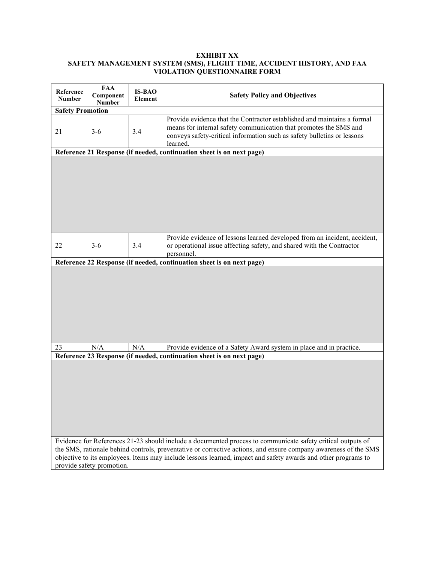| Reference<br><b>Number</b> | <b>FAA</b><br>Component<br><b>Number</b> | <b>IS-BAO</b><br>Element | <b>Safety Policy and Objectives</b>                                                                                                                                                                                                                                                                     |
|----------------------------|------------------------------------------|--------------------------|---------------------------------------------------------------------------------------------------------------------------------------------------------------------------------------------------------------------------------------------------------------------------------------------------------|
| <b>Safety Promotion</b>    |                                          |                          |                                                                                                                                                                                                                                                                                                         |
| 21                         | $3-6$                                    | 3.4                      | Provide evidence that the Contractor established and maintains a formal<br>means for internal safety communication that promotes the SMS and<br>conveys safety-critical information such as safety bulletins or lessons<br>learned.                                                                     |
|                            |                                          |                          | Reference 21 Response (if needed, continuation sheet is on next page)                                                                                                                                                                                                                                   |
|                            |                                          |                          |                                                                                                                                                                                                                                                                                                         |
| 22                         | $3 - 6$                                  | 3.4                      | Provide evidence of lessons learned developed from an incident, accident,<br>or operational issue affecting safety, and shared with the Contractor<br>personnel.                                                                                                                                        |
|                            |                                          |                          | Reference 22 Response (if needed, continuation sheet is on next page)                                                                                                                                                                                                                                   |
|                            |                                          |                          |                                                                                                                                                                                                                                                                                                         |
| 23                         | N/A                                      | N/A                      | Provide evidence of a Safety Award system in place and in practice.                                                                                                                                                                                                                                     |
|                            |                                          |                          | Reference 23 Response (if needed, continuation sheet is on next page)<br>Evidence for References 21-23 should include a documented process to communicate safety critical outputs of<br>the SMS, rationale behind controls, preventative or corrective actions, and ensure company awareness of the SMS |
|                            | provide safety promotion.                |                          | objective to its employees. Items may include lessons learned, impact and safety awards and other programs to                                                                                                                                                                                           |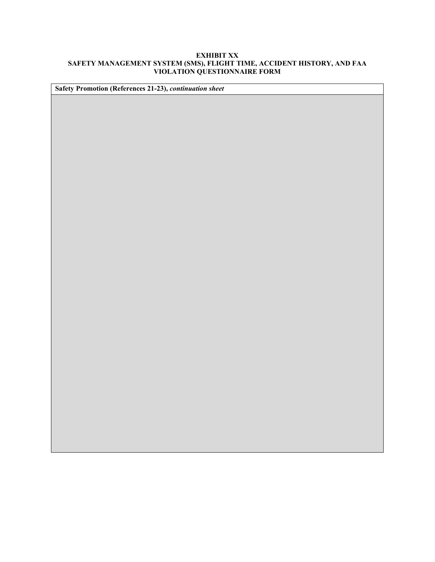| Safety Promotion (References 21-23), continuation sheet |  |  |  |  |
|---------------------------------------------------------|--|--|--|--|
|                                                         |  |  |  |  |
|                                                         |  |  |  |  |
|                                                         |  |  |  |  |
|                                                         |  |  |  |  |
|                                                         |  |  |  |  |
|                                                         |  |  |  |  |
|                                                         |  |  |  |  |
|                                                         |  |  |  |  |
|                                                         |  |  |  |  |
|                                                         |  |  |  |  |
|                                                         |  |  |  |  |
|                                                         |  |  |  |  |
|                                                         |  |  |  |  |
|                                                         |  |  |  |  |
|                                                         |  |  |  |  |
|                                                         |  |  |  |  |
|                                                         |  |  |  |  |
|                                                         |  |  |  |  |
|                                                         |  |  |  |  |
|                                                         |  |  |  |  |
|                                                         |  |  |  |  |
|                                                         |  |  |  |  |
|                                                         |  |  |  |  |
|                                                         |  |  |  |  |
|                                                         |  |  |  |  |
|                                                         |  |  |  |  |
|                                                         |  |  |  |  |
|                                                         |  |  |  |  |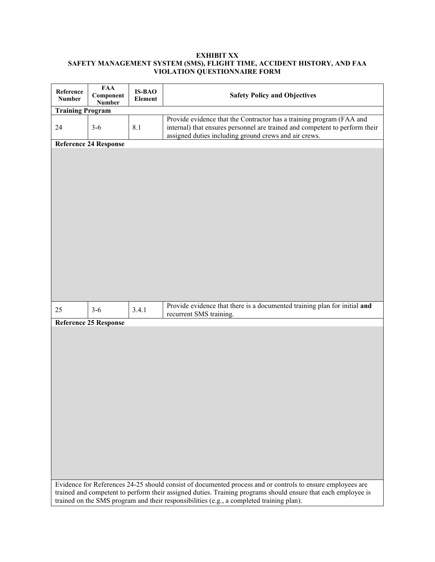| Reference<br><b>Number</b> | <b>FAA</b><br>Component<br><b>Number</b> | <b>IS-BAO</b><br>Element | <b>Safety Policy and Objectives</b>                                                                                                                                                                          |
|----------------------------|------------------------------------------|--------------------------|--------------------------------------------------------------------------------------------------------------------------------------------------------------------------------------------------------------|
| <b>Training Program</b>    |                                          |                          |                                                                                                                                                                                                              |
| 24                         | $3-6$                                    | 8.1                      | Provide evidence that the Contractor has a training program (FAA and<br>internal) that ensures personnel are trained and competent to perform their<br>assigned duties including ground crews and air crews. |
|                            | Reference 24 Response                    |                          |                                                                                                                                                                                                              |
|                            |                                          |                          |                                                                                                                                                                                                              |
| 25                         | $3-6$                                    | 3.4.1                    | Provide evidence that there is a documented training plan for initial and<br>recurrent SMS training.                                                                                                         |
|                            | <b>Reference 25 Response</b>             |                          |                                                                                                                                                                                                              |
|                            |                                          |                          | Evidence for References 24-25 should consist of documented process and or controls to ensure employees are                                                                                                   |
|                            |                                          |                          | trained and competent to perform their assigned duties. Training programs should ensure that each employee is<br>trained on the SMS program and their responsibilities (e.g., a completed training plan).    |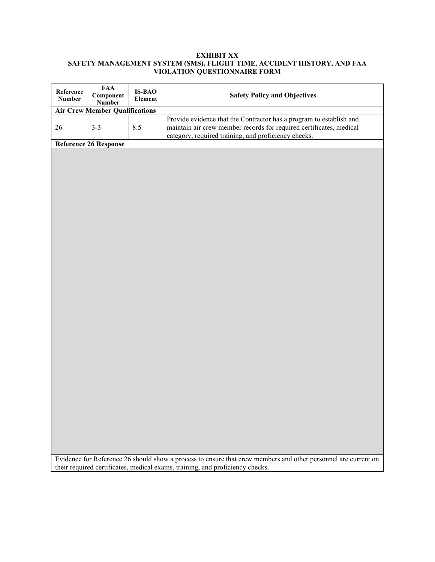| Reference<br><b>Number</b> | <b>FAA</b><br>Component<br><b>Number</b> | <b>IS-BAO</b><br>Element | <b>Safety Policy and Objectives</b>                                                                                                                                                                |  |  |  |
|----------------------------|------------------------------------------|--------------------------|----------------------------------------------------------------------------------------------------------------------------------------------------------------------------------------------------|--|--|--|
|                            | <b>Air Crew Member Qualifications</b>    |                          |                                                                                                                                                                                                    |  |  |  |
| 26                         | $3 - 3$                                  | 8.5                      | Provide evidence that the Contractor has a program to establish and<br>maintain air crew member records for required certificates, medical<br>category, required training, and proficiency checks. |  |  |  |
|                            | <b>Reference 26 Response</b>             |                          |                                                                                                                                                                                                    |  |  |  |
|                            |                                          |                          |                                                                                                                                                                                                    |  |  |  |
|                            |                                          |                          |                                                                                                                                                                                                    |  |  |  |
|                            |                                          |                          |                                                                                                                                                                                                    |  |  |  |
|                            |                                          |                          |                                                                                                                                                                                                    |  |  |  |
|                            |                                          |                          |                                                                                                                                                                                                    |  |  |  |
|                            |                                          |                          |                                                                                                                                                                                                    |  |  |  |
|                            |                                          |                          |                                                                                                                                                                                                    |  |  |  |
|                            |                                          |                          |                                                                                                                                                                                                    |  |  |  |
|                            |                                          |                          |                                                                                                                                                                                                    |  |  |  |
|                            |                                          |                          |                                                                                                                                                                                                    |  |  |  |
|                            |                                          |                          |                                                                                                                                                                                                    |  |  |  |
|                            |                                          |                          |                                                                                                                                                                                                    |  |  |  |
|                            |                                          |                          |                                                                                                                                                                                                    |  |  |  |
|                            |                                          |                          |                                                                                                                                                                                                    |  |  |  |
|                            |                                          |                          |                                                                                                                                                                                                    |  |  |  |
|                            |                                          |                          |                                                                                                                                                                                                    |  |  |  |
|                            |                                          |                          |                                                                                                                                                                                                    |  |  |  |
|                            |                                          |                          |                                                                                                                                                                                                    |  |  |  |
|                            |                                          |                          |                                                                                                                                                                                                    |  |  |  |
|                            |                                          |                          |                                                                                                                                                                                                    |  |  |  |
|                            |                                          |                          |                                                                                                                                                                                                    |  |  |  |
|                            |                                          |                          |                                                                                                                                                                                                    |  |  |  |
|                            |                                          |                          |                                                                                                                                                                                                    |  |  |  |
|                            |                                          |                          |                                                                                                                                                                                                    |  |  |  |
|                            |                                          |                          |                                                                                                                                                                                                    |  |  |  |
|                            |                                          |                          |                                                                                                                                                                                                    |  |  |  |
|                            |                                          |                          |                                                                                                                                                                                                    |  |  |  |
|                            |                                          |                          |                                                                                                                                                                                                    |  |  |  |
|                            |                                          |                          |                                                                                                                                                                                                    |  |  |  |
|                            |                                          |                          |                                                                                                                                                                                                    |  |  |  |
|                            |                                          |                          |                                                                                                                                                                                                    |  |  |  |
|                            |                                          |                          |                                                                                                                                                                                                    |  |  |  |
|                            |                                          |                          |                                                                                                                                                                                                    |  |  |  |
|                            |                                          |                          |                                                                                                                                                                                                    |  |  |  |
|                            |                                          |                          |                                                                                                                                                                                                    |  |  |  |
|                            |                                          |                          |                                                                                                                                                                                                    |  |  |  |
|                            |                                          |                          |                                                                                                                                                                                                    |  |  |  |
|                            |                                          |                          | Evidence for Reference 26 should show a process to ensure that crew members and other personnel are current on                                                                                     |  |  |  |

their required certificates, medical exams, training, and proficiency checks.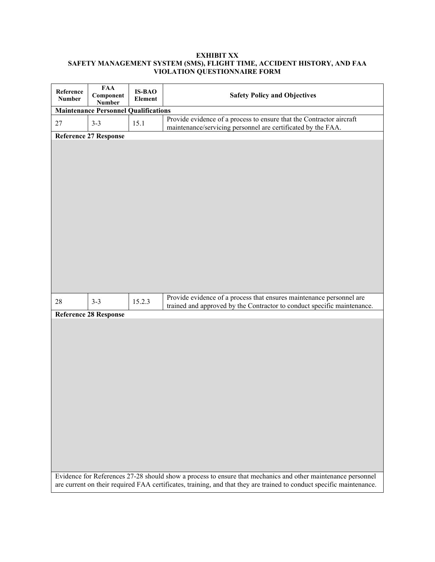| Reference<br><b>Number</b> | <b>FAA</b><br>Component<br><b>Number</b>    | <b>IS-BAO</b><br>Element | <b>Safety Policy and Objectives</b>                                                                                                                                                                                                  |  |  |  |
|----------------------------|---------------------------------------------|--------------------------|--------------------------------------------------------------------------------------------------------------------------------------------------------------------------------------------------------------------------------------|--|--|--|
|                            | <b>Maintenance Personnel Qualifications</b> |                          |                                                                                                                                                                                                                                      |  |  |  |
| 27                         | $3 - 3$                                     | 15.1                     | Provide evidence of a process to ensure that the Contractor aircraft<br>maintenance/servicing personnel are certificated by the FAA.                                                                                                 |  |  |  |
|                            | <b>Reference 27 Response</b>                |                          |                                                                                                                                                                                                                                      |  |  |  |
|                            |                                             |                          |                                                                                                                                                                                                                                      |  |  |  |
| 28                         | $3 - 3$                                     | 15.2.3                   | Provide evidence of a process that ensures maintenance personnel are<br>trained and approved by the Contractor to conduct specific maintenance.                                                                                      |  |  |  |
|                            | <b>Reference 28 Response</b>                |                          |                                                                                                                                                                                                                                      |  |  |  |
|                            |                                             |                          | Evidence for References 27-28 should show a process to ensure that mechanics and other maintenance personnel<br>are current on their required FAA certificates, training, and that they are trained to conduct specific maintenance. |  |  |  |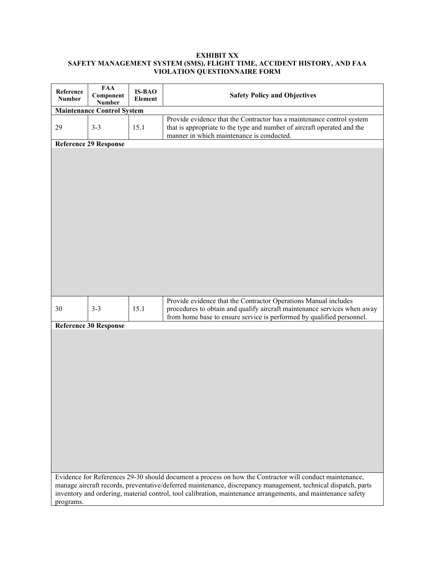| Reference<br><b>Number</b> | <b>FAA</b><br>Component<br><b>Number</b> | <b>IS-BAO</b><br>Element | <b>Safety Policy and Objectives</b>                                                                                                                                                                                                                                                                                                      |  |  |
|----------------------------|------------------------------------------|--------------------------|------------------------------------------------------------------------------------------------------------------------------------------------------------------------------------------------------------------------------------------------------------------------------------------------------------------------------------------|--|--|
|                            | <b>Maintenance Control System</b>        |                          |                                                                                                                                                                                                                                                                                                                                          |  |  |
| 29                         | $3 - 3$                                  | 15.1                     | Provide evidence that the Contractor has a maintenance control system<br>that is appropriate to the type and number of aircraft operated and the<br>manner in which maintenance is conducted.                                                                                                                                            |  |  |
|                            | <b>Reference 29 Response</b>             |                          |                                                                                                                                                                                                                                                                                                                                          |  |  |
|                            |                                          |                          |                                                                                                                                                                                                                                                                                                                                          |  |  |
| 30                         | $3 - 3$                                  | 15.1                     | Provide evidence that the Contractor Operations Manual includes<br>procedures to obtain and qualify aircraft maintenance services when away<br>from home base to ensure service is performed by qualified personnel.                                                                                                                     |  |  |
|                            | <b>Reference 30 Response</b>             |                          |                                                                                                                                                                                                                                                                                                                                          |  |  |
|                            |                                          |                          |                                                                                                                                                                                                                                                                                                                                          |  |  |
| programs.                  |                                          |                          | Evidence for References 29-30 should document a process on how the Contractor will conduct maintenance,<br>manage aircraft records, preventative/deferred maintenance, discrepancy management, technical dispatch, parts<br>inventory and ordering, material control, tool calibration, maintenance arrangements, and maintenance safety |  |  |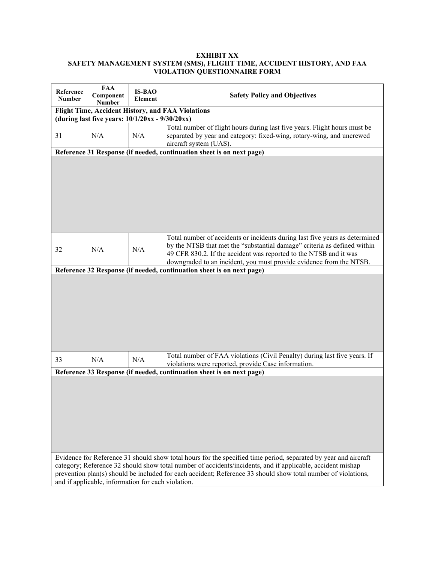| Reference<br><b>Number</b> | <b>FAA</b><br>Component<br><b>Number</b>                                                                | <b>IS-BAO</b><br>Element | <b>Safety Policy and Objectives</b>                                                                                                                                                                                                                                                                 |  |
|----------------------------|---------------------------------------------------------------------------------------------------------|--------------------------|-----------------------------------------------------------------------------------------------------------------------------------------------------------------------------------------------------------------------------------------------------------------------------------------------------|--|
|                            | Flight Time, Accident History, and FAA Violations<br>(during last five years: $10/1/20xx - 9/30/20xx$ ) |                          |                                                                                                                                                                                                                                                                                                     |  |
| 31                         | N/A                                                                                                     | N/A                      | Total number of flight hours during last five years. Flight hours must be<br>separated by year and category: fixed-wing, rotary-wing, and uncrewed<br>aircraft system (UAS).                                                                                                                        |  |
|                            |                                                                                                         |                          | Reference 31 Response (if needed, continuation sheet is on next page)                                                                                                                                                                                                                               |  |
|                            |                                                                                                         |                          |                                                                                                                                                                                                                                                                                                     |  |
| 32                         | N/A                                                                                                     | N/A                      | Total number of accidents or incidents during last five years as determined<br>by the NTSB that met the "substantial damage" criteria as defined within<br>49 CFR 830.2. If the accident was reported to the NTSB and it was<br>downgraded to an incident, you must provide evidence from the NTSB. |  |
|                            |                                                                                                         |                          | Reference 32 Response (if needed, continuation sheet is on next page)                                                                                                                                                                                                                               |  |
|                            |                                                                                                         |                          |                                                                                                                                                                                                                                                                                                     |  |
| 33                         | N/A                                                                                                     | N/A                      | Total number of FAA violations (Civil Penalty) during last five years. If<br>violations were reported, provide Case information.                                                                                                                                                                    |  |
|                            |                                                                                                         |                          | Reference 33 Response (if needed, continuation sheet is on next page)                                                                                                                                                                                                                               |  |
|                            |                                                                                                         |                          | Evidence for Reference 31 should show total hours for the specified time period, separated by year and aircraft                                                                                                                                                                                     |  |
|                            | and if applicable, information for each violation.                                                      |                          | category; Reference 32 should show total number of accidents/incidents, and if applicable, accident mishap<br>prevention plan(s) should be included for each accident; Reference 33 should show total number of violations,                                                                         |  |